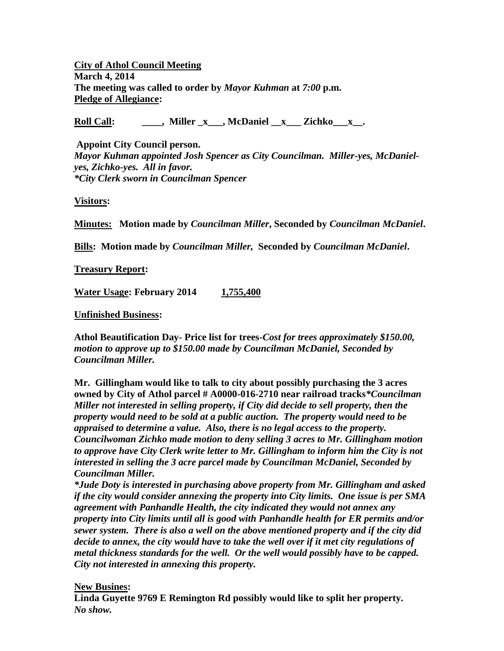**City of Athol Council Meeting March 4, 2014 The meeting was called to order by** *Mayor Kuhman* **at** *7:00* **p.m. Pledge of Allegiance:**

**Roll Call: \_\_\_\_, Miller \_x\_\_\_, McDaniel \_\_x\_\_\_ Zichko\_\_\_x\_\_.**

**Appoint City Council person.** *Mayor Kuhman appointed Josh Spencer as City Councilman. Miller-yes, McDanielyes, Zichko-yes. All in favor. \*City Clerk sworn in Councilman Spencer*

**Visitors:**

**Minutes: Motion made by** *Councilman Miller***, Seconded by** *Councilman McDaniel***.**

**Bills: Motion made by** *Councilman Miller,* **Seconded by** *Councilman McDaniel***.**

**Treasury Report:**

**Water Usage: February 2014 1,755,400**

**Unfinished Business:**

**Athol Beautification Day- Price list for trees-***Cost for trees approximately \$150.00, motion to approve up to \$150.00 made by Councilman McDaniel, Seconded by Councilman Miller.* 

**Mr. Gillingham would like to talk to city about possibly purchasing the 3 acres owned by City of Athol parcel # A0000-016-2710 near railroad tracks***\*Councilman Miller not interested in selling property, if City did decide to sell property, then the property would need to be sold at a public auction. The property would need to be appraised to determine a value. Also, there is no legal access to the property. Councilwoman Zichko made motion to deny selling 3 acres to Mr. Gillingham motion to approve have City Clerk write letter to Mr. Gillingham to inform him the City is not interested in selling the 3 acre parcel made by Councilman McDaniel, Seconded by Councilman Miller.*

*\*Jude Doty is interested in purchasing above property from Mr. Gillingham and asked if the city would consider annexing the property into City limits. One issue is per SMA agreement with Panhandle Health, the city indicated they would not annex any property into City limits until all is good with Panhandle health for ER permits and/or sewer system. There is also a well on the above mentioned property and if the city did decide to annex, the city would have to take the well over if it met city regulations of metal thickness standards for the well. Or the well would possibly have to be capped. City not interested in annexing this property.*

## **New Busines:**

**Linda Guyette 9769 E Remington Rd possibly would like to split her property.** *No show.*